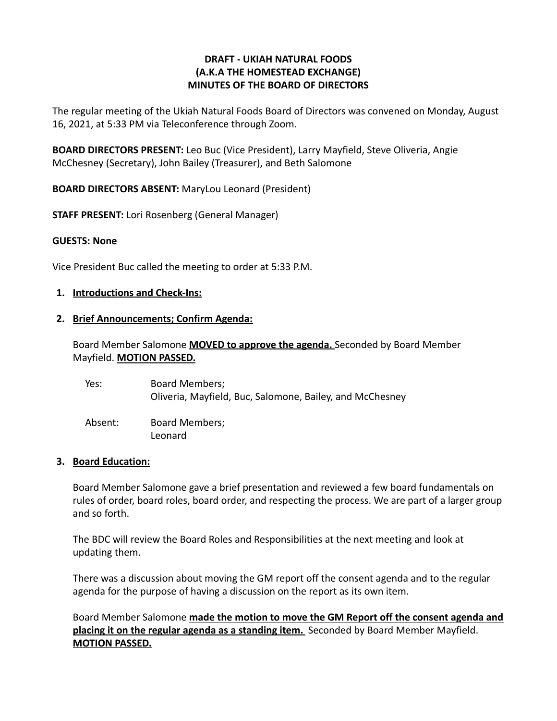## **DRAFT - UKIAH NATURAL FOODS (A.K.A THE HOMESTEAD EXCHANGE) MINUTES OF THE BOARD OF DIRECTORS**

The regular meeting of the Ukiah Natural Foods Board of Directors was convened on Monday, August 16, 2021, at 5:33 PM via Teleconference through Zoom.

**BOARD DIRECTORS PRESENT:** Leo Buc (Vice President), Larry Mayfield, Steve Oliveria, Angie McChesney (Secretary), John Bailey (Treasurer), and Beth Salomone

**BOARD DIRECTORS ABSENT:** MaryLou Leonard (President)

**STAFF PRESENT:** Lori Rosenberg (General Manager)

### **GUESTS: None**

Vice President Buc called the meeting to order at 5:33 P.M.

#### **1. Introductions and Check-Ins:**

#### **2. Brief Announcements; Confirm Agenda:**

Board Member Salomone **MOVED to approve the agenda.** Seconded by Board Member Mayfield. **MOTION PASSED.**

| Yes:    | Board Members;<br>Oliveria, Mayfield, Buc, Salomone, Bailey, and McChesney |
|---------|----------------------------------------------------------------------------|
| Absent: | Board Members;<br>Leonard                                                  |

#### **3. Board Education:**

Board Member Salomone gave a brief presentation and reviewed a few board fundamentals on rules of order, board roles, board order, and respecting the process. We are part of a larger group and so forth.

The BDC will review the Board Roles and Responsibilities at the next meeting and look at updating them.

There was a discussion about moving the GM report off the consent agenda and to the regular agenda for the purpose of having a discussion on the report as its own item.

Board Member Salomone **made the motion to move the GM Report off the consent agenda and placing it on the regular agenda as a standing item.** Seconded by Board Member Mayfield. **MOTION PASSED.**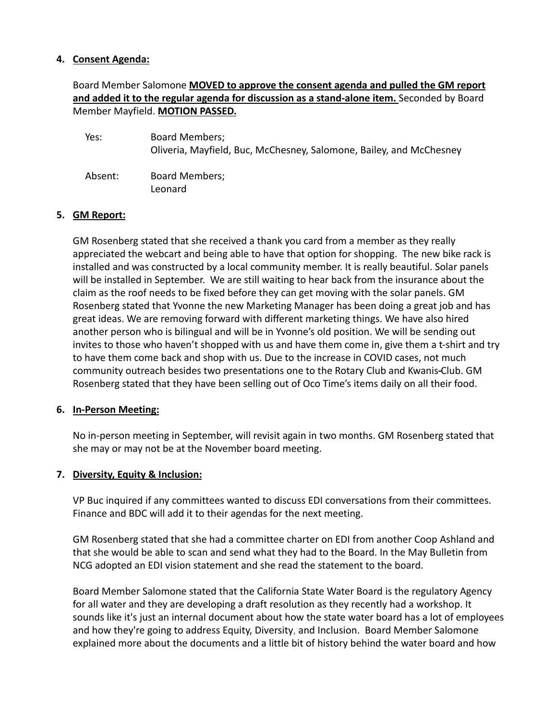### **4. Consent Agenda:**

# Board Member Salomone **MOVED to approve the consent agenda and pulled the GM report and added it to the regular agenda for discussion as a stand-alone item.** Seconded by Board Member Mayfield. **MOTION PASSED.**

| Yes:    | Board Members;<br>Oliveria, Mayfield, Buc, McChesney, Salomone, Bailey, and McChesney |
|---------|---------------------------------------------------------------------------------------|
| Absent: | Board Members;<br>Leonard                                                             |

# **5. GM Report:**

GM Rosenberg stated that she received a thank you card from a member as they really appreciated the webcart and being able to have that option for shopping. The new bike rack is installed and was constructed by a local community member. It is really beautiful. Solar panels will be installed in September. We are still waiting to hear back from the insurance about the claim as the roof needs to be fixed before they can get moving with the solar panels. GM Rosenberg stated that Yvonne the new Marketing Manager has been doing a great job and has great ideas. We are removing forward with different marketing things. We have also hired another person who is bilingual and will be in Yvonne's old position. We will be sending out invites to those who haven't shopped with us and have them come in, give them a t-shirt and try to have them come back and shop with us. Due to the increase in COVID cases, not much community outreach besides two presentations one to the Rotary Club and Kwanis Club. GM Rosenberg stated that they have been selling out of Oco Time's items daily on all their food.

### **6. In-Person Meeting:**

No in-person meeting in September, will revisit again in two months. GM Rosenberg stated that she may or may not be at the November board meeting.

### **7. Diversity, Equity & Inclusion:**

VP Buc inquired if any committees wanted to discuss EDI conversations from their committees. Finance and BDC will add it to their agendas for the next meeting.

GM Rosenberg stated that she had a committee charter on EDI from another Coop Ashland and that she would be able to scan and send what they had to the Board. In the May Bulletin from NCG adopted an EDI vision statement and she read the statement to the board.

Board Member Salomone stated that the California State Water Board is the regulatory Agency for all water and they are developing a draft resolution as they recently had a workshop. It sounds like it's just an internal document about how the state water board has a lot of employees and how they're going to address Equity, Diversity, and Inclusion. Board Member Salomone explained more about the documents and a little bit of history behind the water board and how